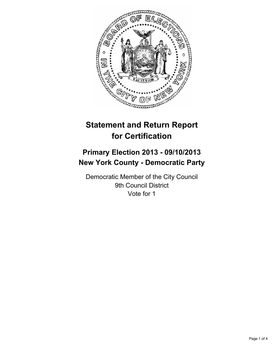

# **Statement and Return Report for Certification**

## **Primary Election 2013 - 09/10/2013 New York County - Democratic Party**

Democratic Member of the City Council 9th Council District Vote for 1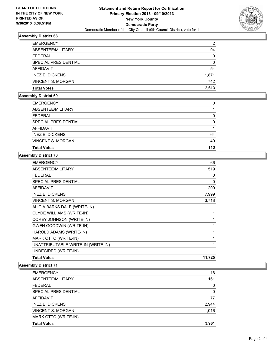

### **Assembly District 68**

| <b>EMERGENCY</b>         | 2        |
|--------------------------|----------|
| ABSENTEE/MILITARY        | 94       |
| <b>FEDERAL</b>           | $\Omega$ |
| SPECIAL PRESIDENTIAL     | $\Omega$ |
| AFFIDAVIT                | 54       |
| <b>INEZ E. DICKENS</b>   | 1,871    |
| <b>VINCENT S. MORGAN</b> | 742      |
| <b>Total Votes</b>       | 2.613    |

## **Assembly District 69**

| <b>Total Votes</b>       | 113 |
|--------------------------|-----|
| <b>VINCENT S. MORGAN</b> | 49  |
| <b>INEZ E. DICKENS</b>   | 64  |
| <b>AFFIDAVIT</b>         |     |
| SPECIAL PRESIDENTIAL     | 0   |
| <b>FEDERAL</b>           | 0   |
| ABSENTEE/MILITARY        |     |
| <b>EMERGENCY</b>         | 0   |

#### **Assembly District 70**

| <b>EMERGENCY</b>                   | 66     |
|------------------------------------|--------|
| ABSENTEE/MILITARY                  | 519    |
| FEDERAL                            | 0      |
| SPECIAL PRESIDENTIAL               | 0      |
| <b>AFFIDAVIT</b>                   | 200    |
| <b>INEZ E. DICKENS</b>             | 7,999  |
| <b>VINCENT S. MORGAN</b>           | 3,718  |
| ALICIA BARKS DALE (WRITE-IN)       | 1      |
| <b>CLYDE WILLIAMS (WRITE-IN)</b>   | 1      |
| COREY JOHNSON (WRITE-IN)           | 1      |
| <b>GWEN GOODWIN (WRITE-IN)</b>     | 1      |
| HAROLD ADAMS (WRITE-IN)            | 1      |
| MARK OTTO (WRITE-IN)               | 1      |
| UNATTRIBUTABLE WRITE-IN (WRITE-IN) | 1      |
| UNDECIDED (WRITE-IN)               | 1      |
| <b>Total Votes</b>                 | 11,725 |

#### **Assembly District 71**

| <b>EMERGENCY</b>         | 16    |
|--------------------------|-------|
| ABSENTEE/MILITARY        | 161   |
| <b>FEDERAL</b>           | 0     |
| SPECIAL PRESIDENTIAL     | 0     |
| AFFIDAVIT                | 77    |
| <b>INEZ E. DICKENS</b>   | 2,944 |
| <b>VINCENT S. MORGAN</b> | 1,016 |
| MARK OTTO (WRITE-IN)     |       |
| <b>Total Votes</b>       | 3,961 |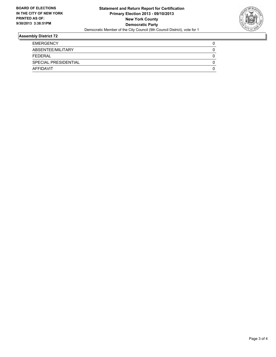

#### **Assembly District 72**

| <b>EMERGENCY</b>     |  |
|----------------------|--|
| ABSENTEE/MILITARY    |  |
| <b>FEDERAL</b>       |  |
| SPECIAL PRESIDENTIAL |  |
| AFFIDAVIT            |  |